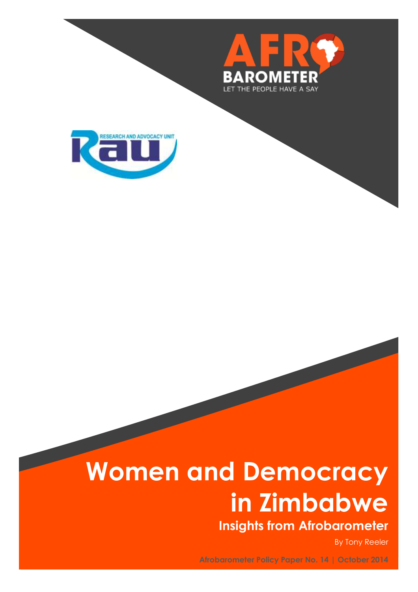



# **Women and Democracy in Zimbabwe**

**Insights from Afrobarometer**

By Tony Reeler

**Afrobarometer Policy Paper No. 14 | October 2014**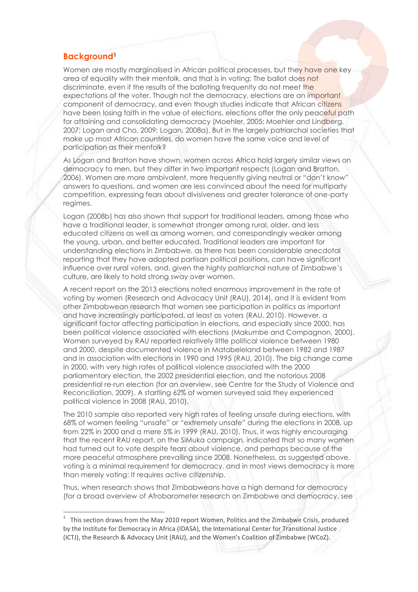# **Background<sup>1</sup>**

 $\overline{a}$ 

Women are mostly marginalised in African political processes, but they have one key area of equality with their menfolk, and that is in voting: The ballot does not discriminate, even if the results of the balloting frequently do not meet the expectations of the voter. Though not the democracy, elections are an important component of democracy, and even though studies indicate that African citizens have been losing faith in the value of elections, elections offer the only peaceful path for attaining and consolidating democracy (Moehler, 2005; Moehler and Lindberg, 2007; Logan and Cho, 2009; Logan, 2008a). But in the largely patriarchal societies that make up most African countries, do women have the same voice and level of participation as their menfolk?

As Logan and Bratton have shown, women across Africa hold largely similar views on democracy to men, but they differ in two important respects (Logan and Bratton, 2006). Women are more ambivalent, more frequently giving neutral or "don't know" answers to questions, and women are less convinced about the need for multiparty competition, expressing fears about divisiveness and greater tolerance of one-party regimes.

Logan (2008b) has also shown that support for traditional leaders, among those who have a traditional leader, is somewhat stronger among rural, older, and less educated citizens as well as among women, and correspondingly weaker among the young, urban, and better educated. Traditional leaders are important for understanding elections in Zimbabwe, as there has been considerable anecdotal reporting that they have adopted partisan political positions, can have significant influence over rural voters, and, given the highly patriarchal nature of Zimbabwe's culture, are likely to hold strong sway over women.

A recent report on the 2013 elections noted enormous improvement in the rate of voting by women (Research and Advocacy Unit (RAU), 2014), and it is evident from other Zimbabwean research that women see participation in politics as important and have increasingly participated, at least as voters (RAU, 2010). However, a significant factor affecting participation in elections, and especially since 2000, has been political violence associated with elections (Makumbe and Compagnon, 2000). Women surveyed by RAU reported relatively little political violence between 1980 and 2000, despite documented violence in Matabeleland between 1982 and 1987 and in association with elections in 1990 and 1995 (RAU, 2010). The big change came in 2000, with very high rates of political violence associated with the 2000 parliamentary election, the 2002 presidential election, and the notorious 2008 presidential re-run election (for an overview, see Centre for the Study of Violence and Reconciliation, 2009). A startling 62% of women surveyed said they experienced political violence in 2008 (RAU, 2010).

The 2010 sample also reported very high rates of feeling unsafe during elections, with 68% of women feeling "unsafe" or "extremely unsafe" during the elections in 2008, up from 22% in 2000 and a mere 5% in 1999 (RAU, 2010). Thus, it was highly encouraging that the recent RAU report, on the SiMuka campaign, indicated that so many women had turned out to vote despite fears about violence, and perhaps because of the more peaceful atmosphere prevailing since 2008. Nonetheless, as suggested above, voting is a minimal requirement for democracy, and in most views democracy is more than merely voting: It requires active citizenship.

Thus, when research shows that Zimbabweans have a high demand for democracy (for a broad overview of Afrobarometer research on Zimbabwe and democracy, see

 $1$  This section draws from the May 2010 report Women, Politics and the Zimbabwe Crisis, produced by the Institute for Democracy in Africa (IDASA), the International Center for Transitional Justice (ICTJ), the Research & Advocacy Unit (RAU), and the Women's Coalition of Zimbabwe (WCoZ).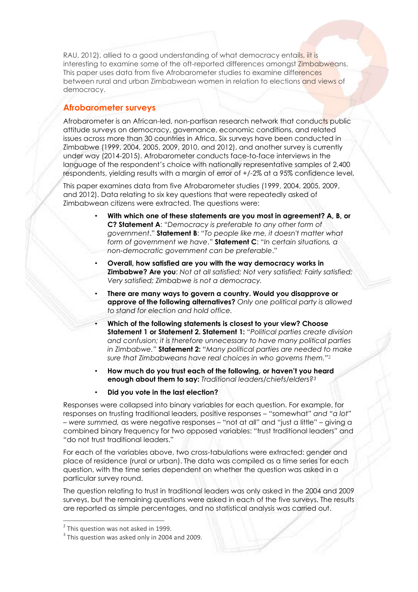RAU, 2012), allied to a good understanding of what democracy entails, iit is interesting to examine some of the oft-reported differences amongst Zimbabweans. This paper uses data from five Afrobarometer studies to examine differences between rural and urban Zimbabwean women in relation to elections and views of democracy.

# **Afrobarometer surveys**

Afrobarometer is an African-led, non-partisan research network that conducts public attitude surveys on democracy, governance, economic conditions, and related issues across more than 30 countries in Africa. Six surveys have been conducted in Zimbabwe (1999, 2004, 2005, 2009, 2010, and 2012), and another survey is currently under way (2014-2015). Afrobarometer conducts face-to-face interviews in the language of the respondent's choice with nationally representative samples of 2,400 respondents, yielding results with a margin of error of +/-2% at a 95% confidence level.

This paper examines data from five Afrobarometer studies (1999, 2004, 2005, 2009, and 2012). Data relating to six key questions that were repeatedly asked of Zimbabwean citizens were extracted. The questions were:

- **With which one of these statements are you most in agreement? A, B, or C? Statement A**: "*Democracy is preferable to any other form of government*." **Statement B**: "*To people like me, it doesn't matter what form of government we have*." **Statement C**: "*In certain situations, a non-democratic government can be preferable*."
- **Overall, how satisfied are you with the way democracy works in Zimbabwe? Are you**: *Not at all satisfied; Not very satisfied; Fairly satisfied; Very satisfied; Zimbabwe is not a democracy.*
- **There are many ways to govern a country. Would you disapprove or approve of the following alternatives?** *Only one political party is allowed to stand for election and hold office.*
- **Which of the following statements is closest to your view? Choose Statement 1 or Statement 2. Statement 1:** "*Political parties create division and confusion; it is therefore unnecessary to have many political parties in Zimbabwe."* **Statement 2:** "*Many political parties are needed to make sure that Zimbabweans have real choices in who governs them."*<sup>2</sup>
- **How much do you trust each of the following, or haven't you heard enough about them to say:** *Traditional leaders/chiefs/elders?<sup>3</sup>*
- **Did you vote in the last election?**

Responses were collapsed into binary variables for each question. For example, for responses on trusting traditional leaders, positive responses – "somewhat" *and "a lot" – were summed,* as were negative responses – "not at all" and "just a little" – giving a combined binary frequency for two opposed variables: "trust traditional leaders" and "do not trust traditional leaders."

For each of the variables above, two cross-tabulations were extracted: gender and place of residence (rural or urban). The data was compiled as a time series for each question, with the time series dependent on whether the question was asked in a particular survey round.

The question relating to trust in traditional leaders was only asked in the 2004 and 2009 surveys, but the remaining questions were asked in each of the five surveys. The results are reported as simple percentages, and no statistical analysis was carried out.

 $\overline{a}$ 

<sup>&</sup>lt;sup>2</sup> This question was not asked in 1999.

 $3$  This question was asked only in 2004 and 2009.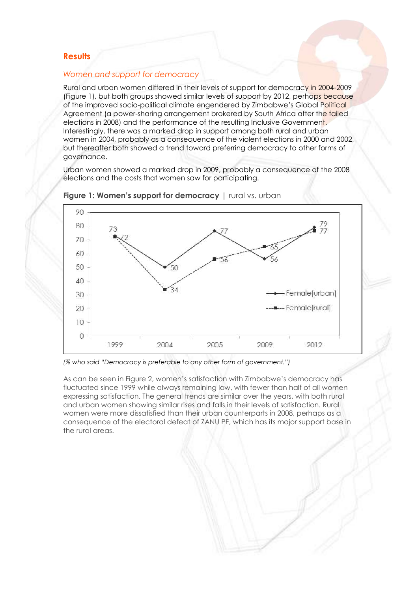## **Results**

#### *Women and support for democracy*

Rural and urban women differed in their levels of support for democracy in 2004-2009 (Figure 1), but both groups showed similar levels of support by 2012, perhaps because of the improved socio-political climate engendered by Zimbabwe's Global Political Agreement (a power-sharing arrangement brokered by South Africa after the failed elections in 2008) and the performance of the resulting Inclusive Government. Interestingly, there was a marked drop in support among both rural and urban women in 2004, probably as a consequence of the violent elections in 2000 and 2002, but thereafter both showed a trend toward preferring democracy to other forms of governance.

Urban women showed a marked drop in 2009, probably a consequence of the 2008 elections and the costs that women saw for participating.





*(% who said* "*Democracy is preferable to any other form of government.")*

As can be seen in Figure 2, women's satisfaction with Zimbabwe's democracy has fluctuated since 1999 while always remaining low, with fewer than half of all women expressing satisfaction. The general trends are similar over the years, with both rural and urban women showing similar rises and falls in their levels of satisfaction. Rural women were more dissatisfied than their urban counterparts in 2008, perhaps as a consequence of the electoral defeat of ZANU PF, which has its major support base in the rural areas.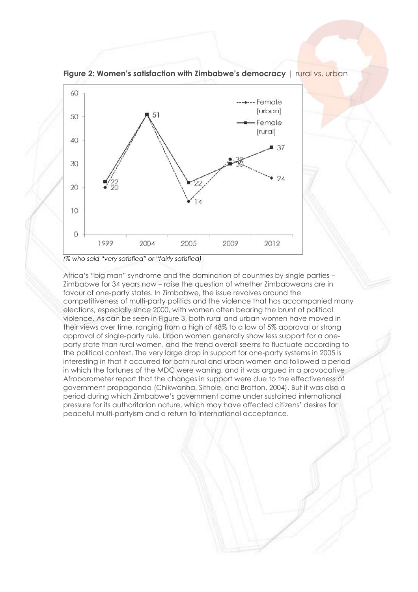

**Figure 2: Women's satisfaction with Zimbabwe's democracy** | rural vs. urban

*(% who said "very satisfied" or "fairly satisfied)*

Africa's "big man" syndrome and the domination of countries by single parties – Zimbabwe for 34 years now – raise the question of whether Zimbabweans are in favour of one-party states. In Zimbabwe, the issue revolves around the competitiveness of multi-party politics and the violence that has accompanied many elections, especially since 2000, with women often bearing the brunt of political violence. As can be seen in Figure 3, both rural and urban women have moved in their views over time, ranging from a high of 48% to a low of 5% approval or strong approval of single-party rule. Urban women generally show less support for a oneparty state than rural women, and the trend overall seems to fluctuate according to the political context. The very large drop in support for one-party systems in 2005 is interesting in that it occurred for both rural and urban women and followed a period in which the fortunes of the MDC were waning, and it was argued in a provocative Afrobarometer report that the changes in support were due to the effectiveness of government propaganda (Chikwanha, Sithole, and Bratton, 2004). But it was also a period during which Zimbabwe's government came under sustained international pressure for its authoritarian nature, which may have affected citizens' desires for peaceful multi-partyism and a return to international acceptance.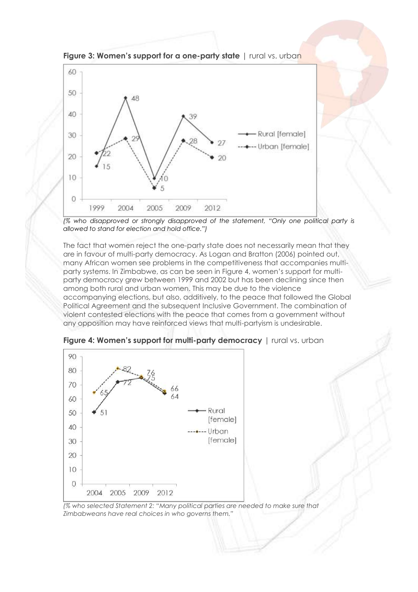

**Figure 3: Women's support for a one-party state** | rural vs. urban



The fact that women reject the one-party state does not necessarily mean that they are in favour of multi-party democracy. As Logan and Bratton (2006) pointed out, many African women see problems in the competitiveness that accompanies multiparty systems. In Zimbabwe, as can be seen in Figure 4, women's support for multiparty democracy grew between 1999 and 2002 but has been declining since then among both rural and urban women. This may be due to the violence accompanying elections, but also, additively, to the peace that followed the Global Political Agreement and the subsequent Inclusive Government. The combination of violent contested elections with the peace that comes from a government without any opposition may have reinforced views that multi-partyism is undesirable.



**Figure 4: Women's support for multi-party democracy** | rural vs. urban

*(% who selected Statement 2: "Many political parties are needed to make sure that Zimbabweans have real choices in who governs them."*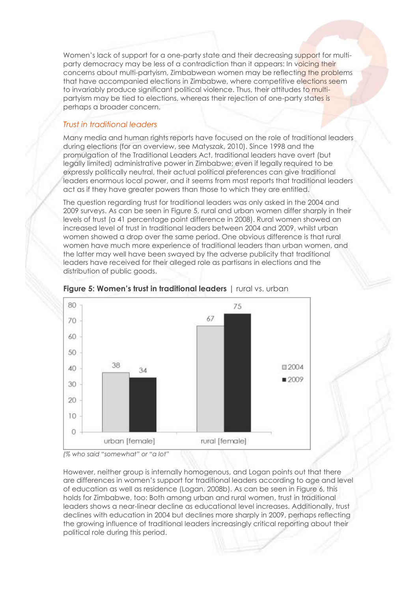Women's lack of support for a one-party state and their decreasing support for multiparty democracy may be less of a contradiction than it appears: In voicing their concerns about multi-partyism, Zimbabwean women may be reflecting the problems that have accompanied elections in Zimbabwe, where competitive elections seem to invariably produce significant political violence. Thus, their attitudes to multipartyism may be tied to elections, whereas their rejection of one-party states is perhaps a broader concern.

## *Trust in traditional leaders*

Many media and human rights reports have focused on the role of traditional leaders during elections (for an overview, see Matyszak, 2010). Since 1998 and the promulgation of the Traditional Leaders Act, traditional leaders have overt (but legally limited) administrative power in Zimbabwe; even if legally required to be expressly politically neutral, their actual political preferences can give traditional leaders enormous local power, and it seems from most reports that traditional leaders act as if they have greater powers than those to which they are entitled.

The question regarding trust for traditional leaders was only asked in the 2004 and 2009 surveys. As can be seen in Figure 5, rural and urban women differ sharply in their levels of trust (a 41 percentage point difference in 2008). Rural women showed an increased level of trust in traditional leaders between 2004 and 2009, whilst urban women showed a drop over the same period. One obvious difference is that rural women have much more experience of traditional leaders than urban women, and the latter may well have been swayed by the adverse publicity that traditional leaders have received for their alleged role as partisans in elections and the distribution of public goods.



#### **Figure 5: Women's trust in traditional leaders** | rural vs. urban

However, neither group is internally homogenous, and Logan points out that there are differences in women's support for traditional leaders according to age and level of education as well as residence (Logan, 2008b). As can be seen in Figure 6, this holds for Zimbabwe, too: Both among urban and rural women, trust in traditional leaders shows a near-linear decline as educational level increases. Additionally, trust declines with education in 2004 but declines more sharply in 2009, perhaps reflecting the growing influence of traditional leaders increasingly critical reporting about their political role during this period.

*<sup>(%</sup> who said "somewhat" or "a lot"*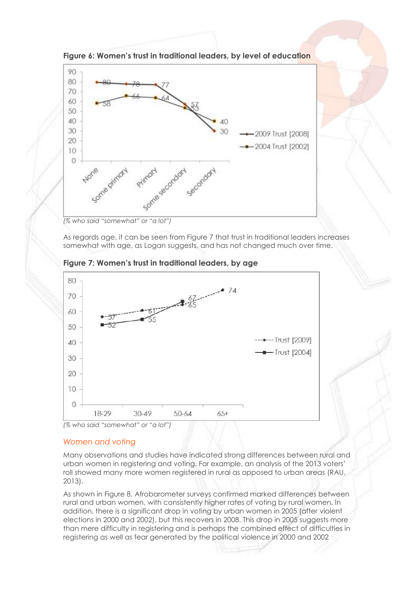

**Figure 6: Women's trust in traditional leaders, by level of education**

*(% who said "somewhat" or "a lot")*

As regards age, it can be seen from Figure 7 that trust in traditional leaders increases somewhat with age, as Logan suggests, and has not changed much over time.





#### *Women and voting*

Many observations and studies have indicated strong differences between rural and urban women in registering and voting. For example, an analysis of the 2013 voters' roll showed many more women registered in rural as opposed to urban areas (RAU, 2013).

As shown in Figure 8, Afrobarometer surveys confirmed marked differences between rural and urban women, with consistently higher rates of voting by rural women. In addition, there is a significant drop in voting by urban women in 2005 (after violent elections in 2000 and 2002), but this recovers in 2008. This drop in 2005 suggests more than mere difficulty in registering and is perhaps the combined effect of difficulties in registering as well as fear generated by the political violence in 2000 and 2002

*<sup>(%</sup> who said "somewhat" or "a lot")*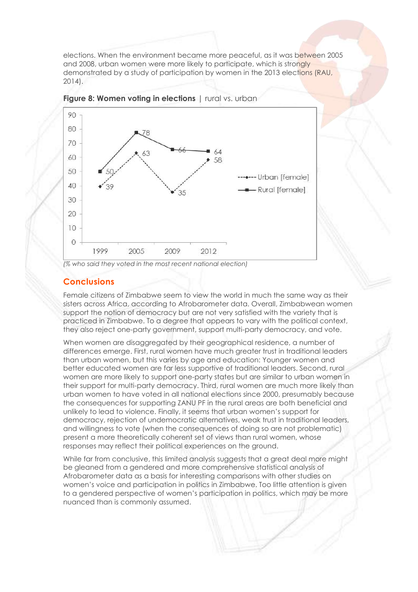elections. When the environment became more peaceful, as it was between 2005 and 2008, urban women were more likely to participate, which is strongly demonstrated by a study of participation by women in the 2013 elections (RAU, 2014).





# **Conclusions**

Female citizens of Zimbabwe seem to view the world in much the same way as their sisters across Africa, according to Afrobarometer data. Overall, Zimbabwean women support the notion of democracy but are not very satisfied with the variety that is practiced in Zimbabwe. To a degree that appears to vary with the political context, they also reject one-party government, support multi-party democracy, and vote.

When women are disaggregated by their geographical residence, a number of differences emerge. First, rural women have much greater trust in traditional leaders than urban women, but this varies by age and education: Younger women and better educated women are far less supportive of traditional leaders. Second, rural women are more likely to support one-party states but are similar to urban women in their support for multi-party democracy. Third, rural women are much more likely than urban women to have voted in all national elections since 2000, presumably because the consequences for supporting ZANU PF in the rural areas are both beneficial and unlikely to lead to violence. Finally, it seems that urban women's support for democracy, rejection of undemocratic alternatives, weak trust in traditional leaders, and willingness to vote (when the consequences of doing so are not problematic) present a more theoretically coherent set of views than rural women, whose responses may reflect their political experiences on the ground.

While far from conclusive, this limited analysis suggests that a great deal more might be gleaned from a gendered and more comprehensive statistical analysis of Afrobarometer data as a basis for interesting comparisons with other studies on women's voice and participation in politics in Zimbabwe. Too little attention is given to a gendered perspective of women's participation in politics, which may be more nuanced than is commonly assumed.

*<sup>(%</sup> who said they voted in the most recent national election)*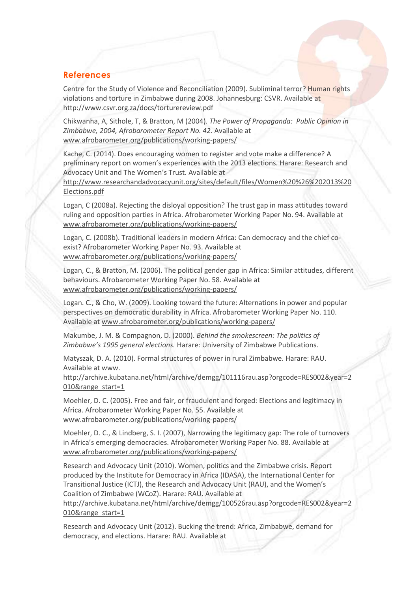## **References**

Centre for the Study of Violence and Reconciliation (2009). Subliminal terror? Human rights violations and torture in Zimbabwe during 2008. Johannesburg: CSVR. Available at <http://www.csvr.org.za/docs/torturereview.pdf>

Chikwanha, A, Sithole, T, & Bratton, M (2004). *The Power of Propaganda: Public Opinion in Zimbabwe, 2004, Afrobarometer Report No. 42.* Available at www.afrobarometer.org/publications/working-papers/

Kache, C. (2014). Does encouraging women to register and vote make a difference? A preliminary report on women's experiences with the 2013 elections. Harare: Research and Advocacy Unit and The Women's Trust. Available at

http://www.researchandadvocacyunit.org/sites/default/files/Women%20%26%202013%20 Elections.pdf

Logan, C (2008a). Rejecting the disloyal opposition? The trust gap in mass attitudes toward ruling and opposition parties in Africa. Afrobarometer Working Paper No. 94. Available at [www.afrobarometer.org/publications/working-papers/](http://www.afrobarometer.org/publications/working-papers/)

Logan, C. (2008b). Traditional leaders in modern Africa: Can democracy and the chief coexist? Afrobarometer Working Paper No. 93. Available at www.afrobarometer.org/publications/working-papers/

Logan, C., & Bratton, M. (2006). The political gender gap in Africa: Similar attitudes, different behaviours. Afrobarometer Working Paper No. 58. Available at [www.afrobarometer.org/publications/working-papers/](http://www.afrobarometer.org/publications/working-papers/)

Logan. C., & Cho, W. (2009). Looking toward the future: Alternations in power and popular perspectives on democratic durability in Africa. Afrobarometer Working Paper No. 110. Available at www.afrobarometer.org/publications/working-papers/

Makumbe, J. M. & Compagnon, D. (2000). *Behind the smokescreen: The politics of Zimbabwe's 1995 general elections.* Harare: University of Zimbabwe Publications.

Matyszak, D. A. (2010). Formal structures of power in rural Zimbabwe. Harare: RAU. Available at www.

[http://archive.kubatana.net/html/archive/demgg/101116rau.asp?orgcode=RES002&year=2](http://archive.kubatana.net/html/archive/demgg/101116rau.asp?orgcode=RES002&year=2010&range_start=1) [010&range\\_start=1](http://archive.kubatana.net/html/archive/demgg/101116rau.asp?orgcode=RES002&year=2010&range_start=1)

Moehler, D. C. (2005). Free and fair, or fraudulent and forged: Elections and legitimacy in Africa. Afrobarometer Working Paper No. 55. Available at www.afrobarometer.org/publications/working-papers/

Moehler, D. C., & Lindberg, S. I. (2007), Narrowing the legitimacy gap: The role of turnovers in Africa's emerging democracies. Afrobarometer Working Paper No. 88. Available at [www.afrobarometer.org/publications/working-papers/](http://www.afrobarometer.org/publications/working-papers/)

Research and Advocacy Unit (2010). Women, politics and the Zimbabwe crisis. Report produced by the Institute for Democracy in Africa (IDASA), the International Center for Transitional Justice (ICTJ), the Research and Advocacy Unit (RAU), and the Women's Coalition of Zimbabwe (WCoZ). Harare: RAU. Available at

[http://archive.kubatana.net/html/archive/demgg/100526rau.asp?orgcode=RES002&year=2](http://archive.kubatana.net/html/archive/demgg/100526rau.asp?orgcode=RES002&year=2010&range_start=1) [010&range\\_start=1](http://archive.kubatana.net/html/archive/demgg/100526rau.asp?orgcode=RES002&year=2010&range_start=1)

Research and Advocacy Unit (2012). Bucking the trend: Africa, Zimbabwe, demand for democracy, and elections. Harare: RAU. Available at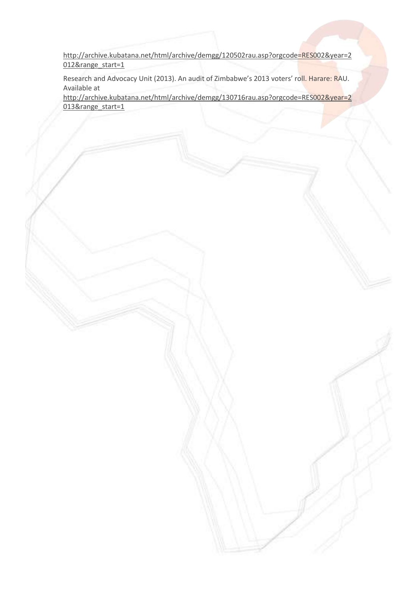[http://archive.kubatana.net/html/archive/demgg/120502rau.asp?orgcode=RES002&year=2](http://archive.kubatana.net/html/archive/demgg/120502rau.asp?orgcode=RES002&year=2012&range_start=1) [012&range\\_start=1](http://archive.kubatana.net/html/archive/demgg/120502rau.asp?orgcode=RES002&year=2012&range_start=1)

Research and Advocacy Unit (2013). An audit of Zimbabwe's 2013 voters' roll. Harare: RAU. Available at

[http://archive.kubatana.net/html/archive/demgg/130716rau.asp?orgcode=RES002&year=2](http://archive.kubatana.net/html/archive/demgg/130716rau.asp?orgcode=RES002&year=2013&range_start=1) [013&range\\_start=1](http://archive.kubatana.net/html/archive/demgg/130716rau.asp?orgcode=RES002&year=2013&range_start=1)